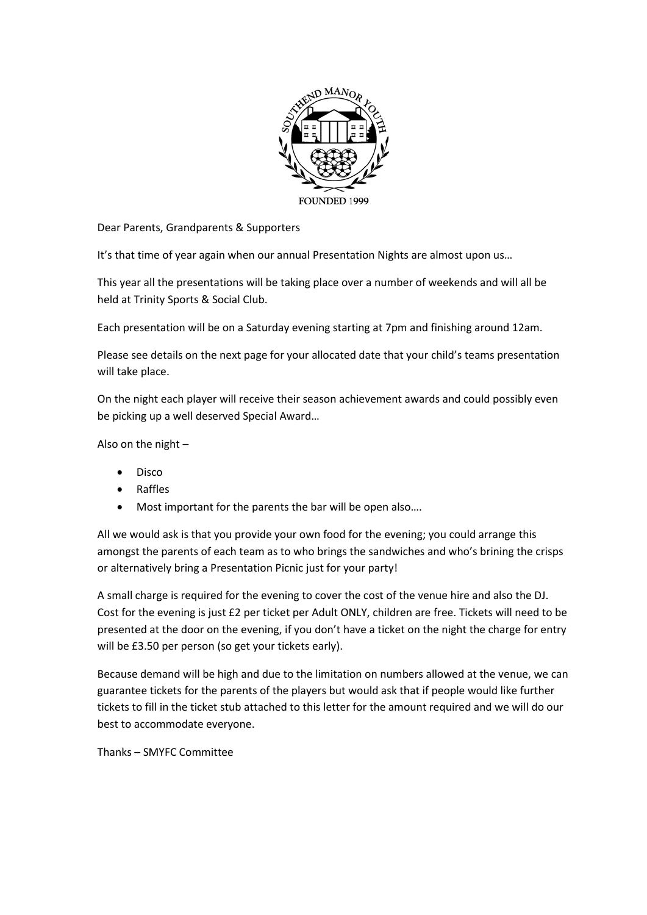

Dear Parents, Grandparents & Supporters

It's that time of year again when our annual Presentation Nights are almost upon us…

This year all the presentations will be taking place over a number of weekends and will all be held at Trinity Sports & Social Club.

Each presentation will be on a Saturday evening starting at 7pm and finishing around 12am.

Please see details on the next page for your allocated date that your child's teams presentation will take place.

On the night each player will receive their season achievement awards and could possibly even be picking up a well deserved Special Award…

Also on the night –

- Disco
- Raffles
- Most important for the parents the bar will be open also….

All we would ask is that you provide your own food for the evening; you could arrange this amongst the parents of each team as to who brings the sandwiches and who's brining the crisps or alternatively bring a Presentation Picnic just for your party!

A small charge is required for the evening to cover the cost of the venue hire and also the DJ. Cost for the evening is just £2 per ticket per Adult ONLY, children are free. Tickets will need to be presented at the door on the evening, if you don't have a ticket on the night the charge for entry will be £3.50 per person (so get your tickets early).

Because demand will be high and due to the limitation on numbers allowed at the venue, we can guarantee tickets for the parents of the players but would ask that if people would like further tickets to fill in the ticket stub attached to this letter for the amount required and we will do our best to accommodate everyone.

Thanks – SMYFC Committee